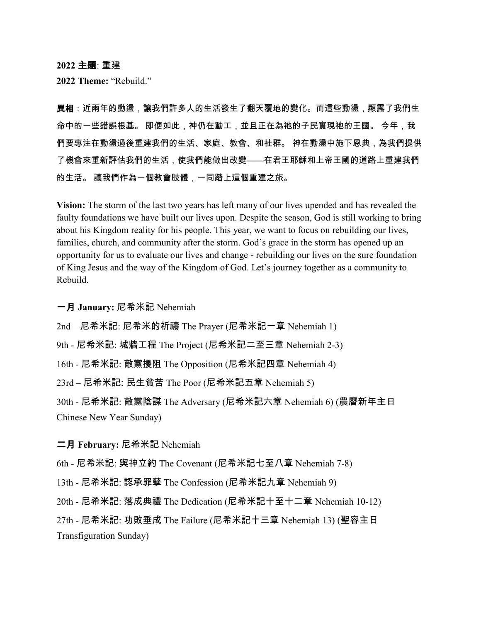**2022** 主題: 重建

**2022 Theme:** "Rebuild."

**異相**:近兩年的動盪,讓我們許多人的生活發生了翻天覆地的變化。而這些動盪,顯露了我們生 命中的一些錯誤根基。 即便如此,神仍在動工,並且正在為祂的子民實現祂的王國。 今年,我 們要專注在動盪過後重建我們的生活、家庭、教會、和社群。 神在動盪中施下恩典,為我們提供 了機會來重新評估我們的生活,使我們能做出改變——在君王耶穌和上帝王國的道路上重建我們 的生活。 讓我們作為一個教會肢體,一同踏上這個重建之旅。

**Vision:** The storm of the last two years has left many of our lives upended and has revealed the faulty foundations we have built our lives upon. Despite the season, God is still working to bring about his Kingdom reality for his people. This year, we want to focus on rebuilding our lives, families, church, and community after the storm. God's grace in the storm has opened up an opportunity for us to evaluate our lives and change - rebuilding our lives on the sure foundation of King Jesus and the way of the Kingdom of God. Let's journey together as a community to Rebuild.

一月 **January:** 尼希米記 Nehemiah

2nd – 尼希米記: 尼希米的祈禱 The Prayer (尼希米記一章 Nehemiah 1)

9th - 尼希米記: 城牆工程 The Project (尼希米記二至三章 Nehemiah 2-3)

16th - 尼希米記: 敵黨擾阻 The Opposition (尼希米記四章 Nehemiah 4)

23rd – 尼希米記: 民生貧苦 The Poor (尼希米記五章 Nehemiah 5)

30th - 尼希米記: 敵黨陰謀 The Adversary (尼希米記六章 Nehemiah 6) (農曆新年主日 Chinese New Year Sunday)

二月 **February:** 尼希米記 Nehemiah

6th - 尼希米記: 與神立約 The Covenant (尼希米記七至八章 Nehemiah 7-8)

13th - 尼希米記: 認承罪孽 The Confession (尼希米記九章 Nehemiah 9)

20th - 尼希米記: 落成典禮 The Dedication (尼希米記十至十二章 Nehemiah 10-12)

27th - 尼希米記: 功敗垂成 The Failure (尼希米記十三章 Nehemiah 13) (聖容主日 Transfiguration Sunday)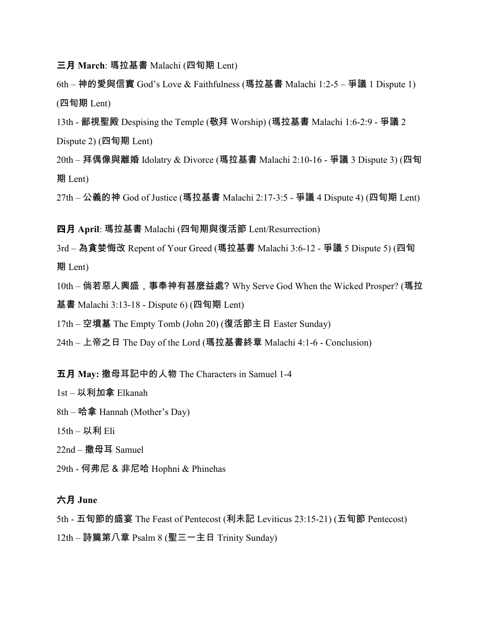- 三月 **March**: 瑪拉基書 Malachi (四旬期 Lent)
- 6th 神的愛與信實 God's Love & Faithfulness (瑪拉基書 Malachi 1:2-5 爭議 1 Dispute 1) (四旬期 Lent)
- 13th 鄙視聖殿 Despising the Temple (敬拜 Worship) (瑪拉基書 Malachi 1:6-2:9 爭議 2 Dispute 2) (四旬期 Lent)
- 20th 拜偶像與離婚 Idolatry & Divorce (瑪拉基書 Malachi 2:10-16 爭議 3 Dispute 3) (四旬 期 Lent)

27th – 公義的神 God of Justice (瑪拉基書 Malachi 2:17-3:5 - 爭議 4 Dispute 4) (四旬期 Lent)

- 四月 **April**: 瑪拉基書 Malachi (四旬期與復活節 Lent/Resurrection)
- 3rd 為貪婪悔改 Repent of Your Greed (瑪拉基書 Malachi 3:6-12 爭議 5 Dispute 5) (四旬 期 Lent)
- 10th 倘若惡人興盛,事奉神有甚麼益處? Why Serve God When the Wicked Prosper? (瑪拉 基書 Malachi 3:13-18 - Dispute 6) (四旬期 Lent)
- 17th 空墳墓 The Empty Tomb (John 20) (復活節主日 Easter Sunday)
- 24th 上帝之日 The Day of the Lord (瑪拉基書終章 Malachi 4:1-6 Conclusion)

五月 **May:** 撒母耳記中的人物 The Characters in Samuel 1-4

- 1st 以利加拿 Elkanah
- 8th 哈拿 Hannah (Mother's Day)
- 15th 以利 Eli
- 22nd 撒母耳 Samuel
- 29th 何弗尼 & 非尼哈 Hophni & Phinehas

## 六月 **June**

5th - 五旬節的盛宴 The Feast of Pentecost (利未記 Leviticus 23:15-21) (五旬節 Pentecost)

12th – 詩篇第八章 Psalm 8 (聖三一主日 Trinity Sunday)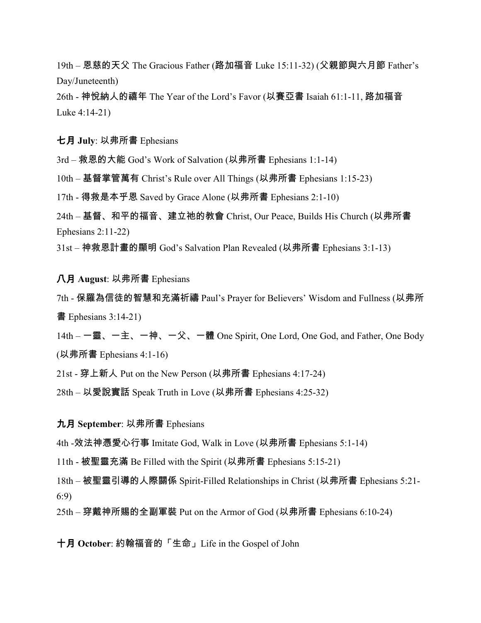19th – 恩慈的天父 The Gracious Father (路加福音 Luke 15:11-32) (父親節與六月節 Father's Day/Juneteenth)

26th - 神悅納人的禧年 The Year of the Lord's Favor (以賽亞書 Isaiah 61:1-11, 路加福音 Luke 4:14-21)

七月 **July**: 以弗所書 Ephesians

3rd – 救恩的大能 God's Work of Salvation (以弗所書 Ephesians 1:1-14)

10th – 基督掌管萬有 Christ's Rule over All Things (以弗所書 Ephesians 1:15-23)

17th - 得救是本乎恩 Saved by Grace Alone (以弗所書 Ephesians 2:1-10)

24th – 基督、和平的福音、建立祂的教會 Christ, Our Peace, Builds His Church (以弗所書 Ephesians 2:11-22)

31st – 神救恩計畫的顯明 God's Salvation Plan Revealed (以弗所書 Ephesians 3:1-13)

## 八月 **August**: 以弗所書 Ephesians

7th - 保羅為信徒的智慧和充滿祈禱 Paul's Prayer for Believers' Wisdom and Fullness (以弗所  $\equiv$  Ephesians 3:14-21)

14th – 一靈、一主、一神、一父、一體 One Spirit, One Lord, One God, and Father, One Body (以弗所書 Ephesians 4:1-16)

21st - 穿上新人 Put on the New Person (以弗所書 Ephesians 4:17-24)

28th – 以愛說實話 Speak Truth in Love (以弗所書 Ephesians 4:25-32)

九月 **September**: 以弗所書 Ephesians

4th -效法神憑愛心行事 Imitate God, Walk in Love (以弗所書 Ephesians 5:1-14)

11th - 被聖靈充滿 Be Filled with the Spirit (以弗所書 Ephesians 5:15-21)

18th – 被聖靈引導的人際關係 Spirit-Filled Relationships in Christ (以弗所書 Ephesians 5:21- 6:9)

25th – 穿戴神所賜的全副軍裝 Put on the Armor of God (以弗所書 Ephesians 6:10-24)

十月 **October**: 約翰福音的「生命」Life in the Gospel of John